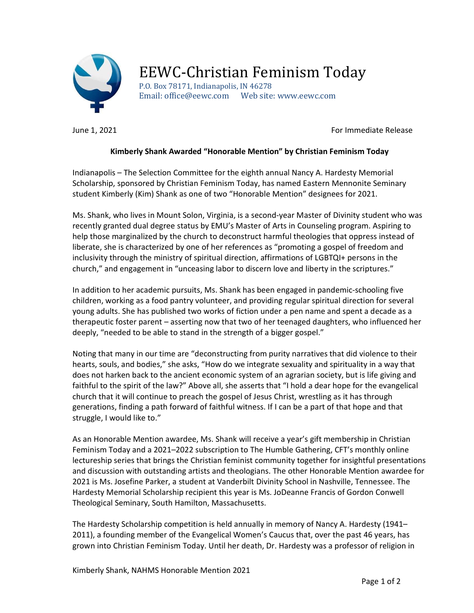

## EEWC-Christian Feminism Today

P.O. Box 78171, Indianapolis, IN 46278 Email: office@eewc.com Web site: www.eewc.com

June 1, 2021 **For Immediate Release** 

## Kimberly Shank Awarded "Honorable Mention" by Christian Feminism Today

Indianapolis – The Selection Committee for the eighth annual Nancy A. Hardesty Memorial Scholarship, sponsored by Christian Feminism Today, has named Eastern Mennonite Seminary student Kimberly (Kim) Shank as one of two "Honorable Mention" designees for 2021.

Ms. Shank, who lives in Mount Solon, Virginia, is a second-year Master of Divinity student who was recently granted dual degree status by EMU's Master of Arts in Counseling program. Aspiring to help those marginalized by the church to deconstruct harmful theologies that oppress instead of liberate, she is characterized by one of her references as "promoting a gospel of freedom and inclusivity through the ministry of spiritual direction, affirmations of LGBTQI+ persons in the church," and engagement in "unceasing labor to discern love and liberty in the scriptures."

In addition to her academic pursuits, Ms. Shank has been engaged in pandemic-schooling five children, working as a food pantry volunteer, and providing regular spiritual direction for several young adults. She has published two works of fiction under a pen name and spent a decade as a therapeutic foster parent – asserting now that two of her teenaged daughters, who influenced her deeply, "needed to be able to stand in the strength of a bigger gospel."

Noting that many in our time are "deconstructing from purity narratives that did violence to their hearts, souls, and bodies," she asks, "How do we integrate sexuality and spirituality in a way that does not harken back to the ancient economic system of an agrarian society, but is life giving and faithful to the spirit of the law?" Above all, she asserts that "I hold a dear hope for the evangelical church that it will continue to preach the gospel of Jesus Christ, wrestling as it has through generations, finding a path forward of faithful witness. If I can be a part of that hope and that struggle, I would like to."

As an Honorable Mention awardee, Ms. Shank will receive a year's gift membership in Christian Feminism Today and a 2021–2022 subscription to The Humble Gathering, CFT's monthly online lectureship series that brings the Christian feminist community together for insightful presentations and discussion with outstanding artists and theologians. The other Honorable Mention awardee for 2021 is Ms. Josefine Parker, a student at Vanderbilt Divinity School in Nashville, Tennessee. The Hardesty Memorial Scholarship recipient this year is Ms. JoDeanne Francis of Gordon Conwell Theological Seminary, South Hamilton, Massachusetts.

The Hardesty Scholarship competition is held annually in memory of Nancy A. Hardesty (1941– 2011), a founding member of the Evangelical Women's Caucus that, over the past 46 years, has grown into Christian Feminism Today. Until her death, Dr. Hardesty was a professor of religion in